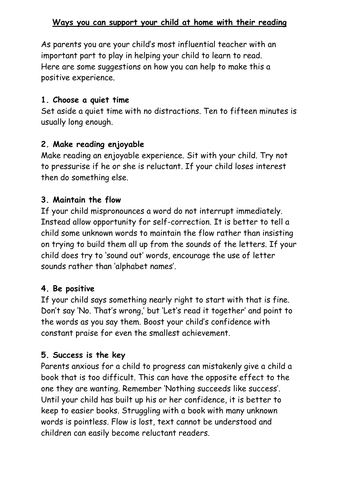### **Ways you can support your child at home with their reading**

As parents you are your child's most influential teacher with an important part to play in helping your child to learn to read. Here are some suggestions on how you can help to make this a positive experience.

#### **1. Choose a quiet time**

Set aside a quiet time with no distractions. Ten to fifteen minutes is usually long enough.

## **2. Make reading enjoyable**

Make reading an enjoyable experience. Sit with your child. Try not to pressurise if he or she is reluctant. If your child loses interest then do something else.

# **3. Maintain the flow**

If your child mispronounces a word do not interrupt immediately. Instead allow opportunity for self-correction. It is better to tell a child some unknown words to maintain the flow rather than insisting on trying to build them all up from the sounds of the letters. If your child does try to 'sound out' words, encourage the use of letter sounds rather than 'alphabet names'.

# **4. Be positive**

If your child says something nearly right to start with that is fine. Don't say 'No. That's wrong,' but 'Let's read it together' and point to the words as you say them. Boost your child's confidence with constant praise for even the smallest achievement.

# **5. Success is the key**

Parents anxious for a child to progress can mistakenly give a child a book that is too difficult. This can have the opposite effect to the one they are wanting. Remember 'Nothing succeeds like success'. Until your child has built up his or her confidence, it is better to keep to easier books. Struggling with a book with many unknown words is pointless. Flow is lost, text cannot be understood and children can easily become reluctant readers.